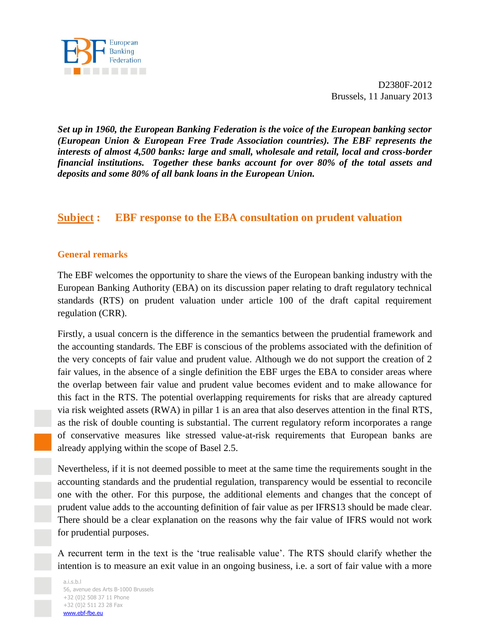

D2380F-2012 Brussels, 11 January 2013

*Set up in 1960, the European Banking Federation is the voice of the European banking sector (European Union & European Free Trade Association countries). The EBF represents the interests of almost 4,500 banks: large and small, wholesale and retail, local and cross-border financial institutions. Together these banks account for over 80% of the total assets and deposits and some 80% of all bank loans in the European Union.*

## **Subject : EBF response to the EBA consultation on prudent valuation**

#### **General remarks**

The EBF welcomes the opportunity to share the views of the European banking industry with the European Banking Authority (EBA) on its discussion paper relating to draft regulatory technical standards (RTS) on prudent valuation under article 100 of the draft capital requirement regulation (CRR).

Firstly, a usual concern is the difference in the semantics between the prudential framework and the accounting standards. The EBF is conscious of the problems associated with the definition of the very concepts of fair value and prudent value. Although we do not support the creation of 2 fair values, in the absence of a single definition the EBF urges the EBA to consider areas where the overlap between fair value and prudent value becomes evident and to make allowance for this fact in the RTS. The potential overlapping requirements for risks that are already captured via risk weighted assets (RWA) in pillar 1 is an area that also deserves attention in the final RTS, as the risk of double counting is substantial. The current regulatory reform incorporates a range of conservative measures like stressed value-at-risk requirements that European banks are already applying within the scope of Basel 2.5.

Nevertheless, if it is not deemed possible to meet at the same time the requirements sought in the accounting standards and the prudential regulation, transparency would be essential to reconcile one with the other. For this purpose, the additional elements and changes that the concept of prudent value adds to the accounting definition of fair value as per IFRS13 should be made clear. There should be a clear explanation on the reasons why the fair value of IFRS would not work for prudential purposes.

A recurrent term in the text is the 'true realisable value'. The RTS should clarify whether the intention is to measure an exit value in an ongoing business, i.e. a sort of fair value with a more

a.i.s.b.l 56, avenue des Arts B-1000 Brussels +32 (0)2 508 37 11 Phone +32 (0)2 511 23 28 Fax www.ebf-fbe.eu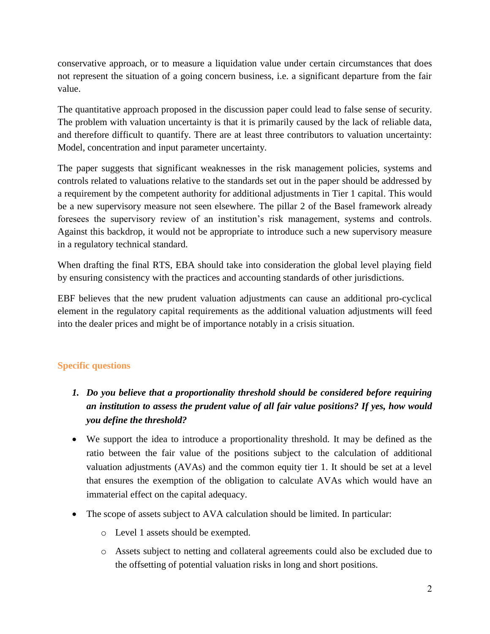conservative approach, or to measure a liquidation value under certain circumstances that does not represent the situation of a going concern business, i.e. a significant departure from the fair value.

The quantitative approach proposed in the discussion paper could lead to false sense of security. The problem with valuation uncertainty is that it is primarily caused by the lack of reliable data, and therefore difficult to quantify. There are at least three contributors to valuation uncertainty: Model, concentration and input parameter uncertainty.

The paper suggests that significant weaknesses in the risk management policies, systems and controls related to valuations relative to the standards set out in the paper should be addressed by a requirement by the competent authority for additional adjustments in Tier 1 capital. This would be a new supervisory measure not seen elsewhere. The pillar 2 of the Basel framework already foresees the supervisory review of an institution's risk management, systems and controls. Against this backdrop, it would not be appropriate to introduce such a new supervisory measure in a regulatory technical standard.

When drafting the final RTS, EBA should take into consideration the global level playing field by ensuring consistency with the practices and accounting standards of other jurisdictions.

EBF believes that the new prudent valuation adjustments can cause an additional pro-cyclical element in the regulatory capital requirements as the additional valuation adjustments will feed into the dealer prices and might be of importance notably in a crisis situation.

### **Specific questions**

- *1. Do you believe that a proportionality threshold should be considered before requiring an institution to assess the prudent value of all fair value positions? If yes, how would you define the threshold?*
- We support the idea to introduce a proportionality threshold. It may be defined as the ratio between the fair value of the positions subject to the calculation of additional valuation adjustments (AVAs) and the common equity tier 1. It should be set at a level that ensures the exemption of the obligation to calculate AVAs which would have an immaterial effect on the capital adequacy.
- The scope of assets subject to AVA calculation should be limited. In particular:
	- o Level 1 assets should be exempted.
	- o Assets subject to netting and collateral agreements could also be excluded due to the offsetting of potential valuation risks in long and short positions.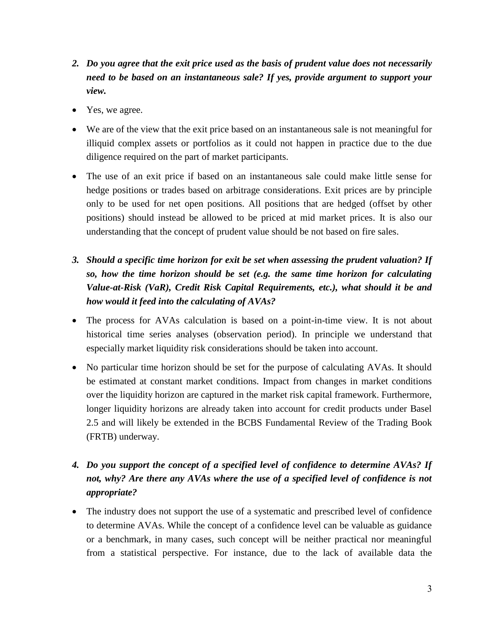- *2. Do you agree that the exit price used as the basis of prudent value does not necessarily need to be based on an instantaneous sale? If yes, provide argument to support your view.*
- Yes, we agree.
- We are of the view that the exit price based on an instantaneous sale is not meaningful for illiquid complex assets or portfolios as it could not happen in practice due to the due diligence required on the part of market participants.
- The use of an exit price if based on an instantaneous sale could make little sense for hedge positions or trades based on arbitrage considerations. Exit prices are by principle only to be used for net open positions. All positions that are hedged (offset by other positions) should instead be allowed to be priced at mid market prices. It is also our understanding that the concept of prudent value should be not based on fire sales.
- *3. Should a specific time horizon for exit be set when assessing the prudent valuation? If so, how the time horizon should be set (e.g. the same time horizon for calculating Value-at-Risk (VaR), Credit Risk Capital Requirements, etc.), what should it be and how would it feed into the calculating of AVAs?*
- The process for AVAs calculation is based on a point-in-time view. It is not about historical time series analyses (observation period). In principle we understand that especially market liquidity risk considerations should be taken into account.
- No particular time horizon should be set for the purpose of calculating AVAs. It should be estimated at constant market conditions. Impact from changes in market conditions over the liquidity horizon are captured in the market risk capital framework. Furthermore, longer liquidity horizons are already taken into account for credit products under Basel 2.5 and will likely be extended in the BCBS Fundamental Review of the Trading Book (FRTB) underway.
- *4. Do you support the concept of a specified level of confidence to determine AVAs? If*  not, why? Are there any AVAs where the use of a specified level of confidence is not *appropriate?*
- The industry does not support the use of a systematic and prescribed level of confidence to determine AVAs. While the concept of a confidence level can be valuable as guidance or a benchmark, in many cases, such concept will be neither practical nor meaningful from a statistical perspective. For instance, due to the lack of available data the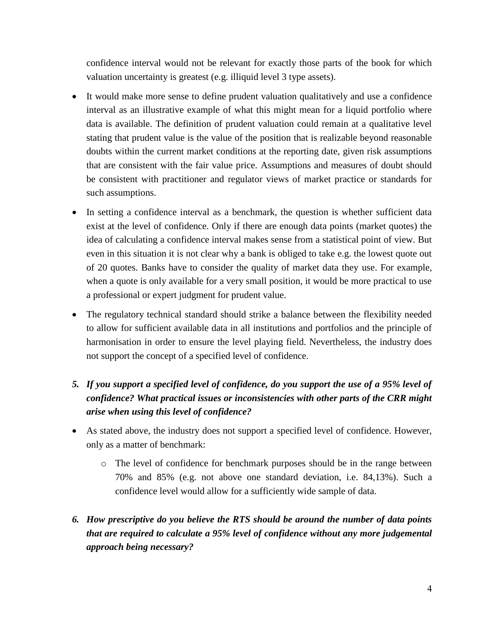confidence interval would not be relevant for exactly those parts of the book for which valuation uncertainty is greatest (e.g. illiquid level 3 type assets).

- It would make more sense to define prudent valuation qualitatively and use a confidence interval as an illustrative example of what this might mean for a liquid portfolio where data is available. The definition of prudent valuation could remain at a qualitative level stating that prudent value is the value of the position that is realizable beyond reasonable doubts within the current market conditions at the reporting date, given risk assumptions that are consistent with the fair value price. Assumptions and measures of doubt should be consistent with practitioner and regulator views of market practice or standards for such assumptions.
- In setting a confidence interval as a benchmark, the question is whether sufficient data exist at the level of confidence. Only if there are enough data points (market quotes) the idea of calculating a confidence interval makes sense from a statistical point of view. But even in this situation it is not clear why a bank is obliged to take e.g. the lowest quote out of 20 quotes. Banks have to consider the quality of market data they use. For example, when a quote is only available for a very small position, it would be more practical to use a professional or expert judgment for prudent value.
- The regulatory technical standard should strike a balance between the flexibility needed to allow for sufficient available data in all institutions and portfolios and the principle of harmonisation in order to ensure the level playing field. Nevertheless, the industry does not support the concept of a specified level of confidence.
- *5. If you support a specified level of confidence, do you support the use of a 95% level of confidence? What practical issues or inconsistencies with other parts of the CRR might arise when using this level of confidence?*
- As stated above, the industry does not support a specified level of confidence. However, only as a matter of benchmark:
	- o The level of confidence for benchmark purposes should be in the range between 70% and 85% (e.g. not above one standard deviation, i.e. 84,13%). Such a confidence level would allow for a sufficiently wide sample of data.
- *6. How prescriptive do you believe the RTS should be around the number of data points that are required to calculate a 95% level of confidence without any more judgemental approach being necessary?*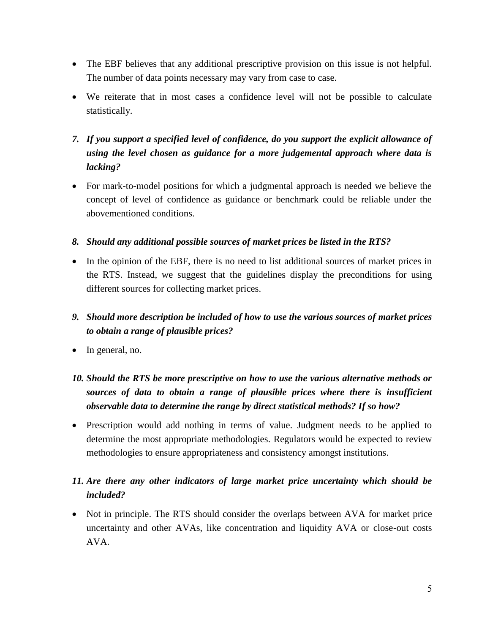- The EBF believes that any additional prescriptive provision on this issue is not helpful. The number of data points necessary may vary from case to case.
- We reiterate that in most cases a confidence level will not be possible to calculate statistically.
- *7. If you support a specified level of confidence, do you support the explicit allowance of using the level chosen as guidance for a more judgemental approach where data is lacking?*
- For mark-to-model positions for which a judgmental approach is needed we believe the concept of level of confidence as guidance or benchmark could be reliable under the abovementioned conditions.

### *8. Should any additional possible sources of market prices be listed in the RTS?*

- In the opinion of the EBF, there is no need to list additional sources of market prices in the RTS. Instead, we suggest that the guidelines display the preconditions for using different sources for collecting market prices.
- *9. Should more description be included of how to use the various sources of market prices to obtain a range of plausible prices?*
- In general, no.

# *10. Should the RTS be more prescriptive on how to use the various alternative methods or*  sources of data to obtain a range of plausible prices where there is insufficient *observable data to determine the range by direct statistical methods? If so how?*

 Prescription would add nothing in terms of value. Judgment needs to be applied to determine the most appropriate methodologies. Regulators would be expected to review methodologies to ensure appropriateness and consistency amongst institutions.

## *11. Are there any other indicators of large market price uncertainty which should be included?*

• Not in principle. The RTS should consider the overlaps between AVA for market price uncertainty and other AVAs, like concentration and liquidity AVA or close-out costs AVA.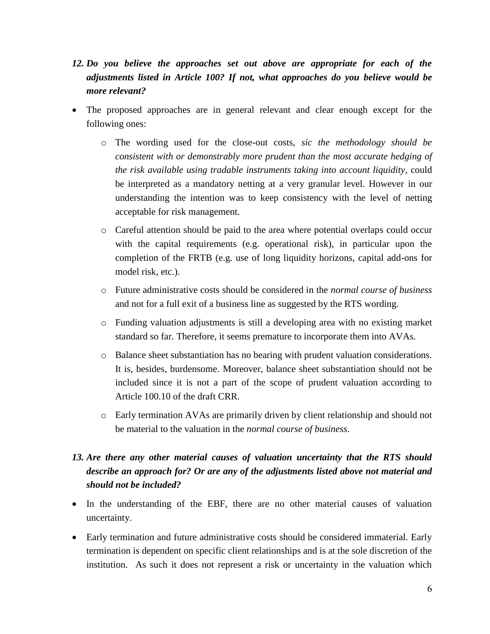- *12. Do you believe the approaches set out above are appropriate for each of the adjustments listed in Article 100? If not, what approaches do you believe would be more relevant?*
- The proposed approaches are in general relevant and clear enough except for the following ones:
	- o The wording used for the close-out costs, *sic the methodology should be consistent with or demonstrably more prudent than the most accurate hedging of the risk available using tradable instruments taking into account liquidity*, could be interpreted as a mandatory netting at a very granular level. However in our understanding the intention was to keep consistency with the level of netting acceptable for risk management.
	- o Careful attention should be paid to the area where potential overlaps could occur with the capital requirements (e.g. operational risk), in particular upon the completion of the FRTB (e.g. use of long liquidity horizons, capital add-ons for model risk, etc.).
	- o Future administrative costs should be considered in the *normal course of business* and not for a full exit of a business line as suggested by the RTS wording.
	- o Funding valuation adjustments is still a developing area with no existing market standard so far. Therefore, it seems premature to incorporate them into AVAs.
	- o Balance sheet substantiation has no bearing with prudent valuation considerations. It is, besides, burdensome. Moreover, balance sheet substantiation should not be included since it is not a part of the scope of prudent valuation according to Article 100.10 of the draft CRR.
	- o Early termination AVAs are primarily driven by client relationship and should not be material to the valuation in the *normal course of business*.

# *13. Are there any other material causes of valuation uncertainty that the RTS should describe an approach for? Or are any of the adjustments listed above not material and should not be included?*

- In the understanding of the EBF, there are no other material causes of valuation uncertainty.
- Early termination and future administrative costs should be considered immaterial. Early termination is dependent on specific client relationships and is at the sole discretion of the institution. As such it does not represent a risk or uncertainty in the valuation which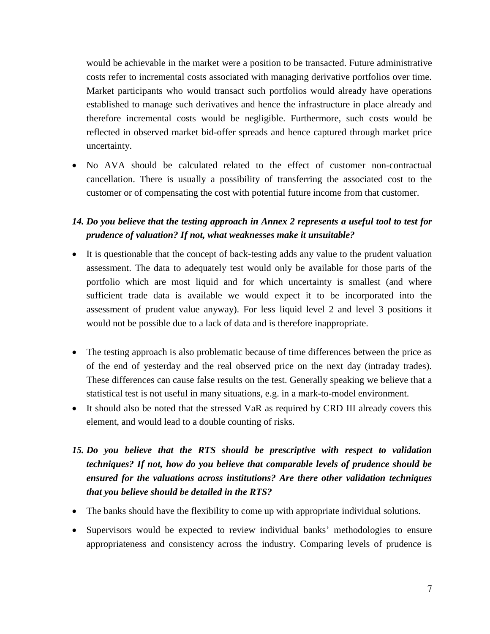would be achievable in the market were a position to be transacted. Future administrative costs refer to incremental costs associated with managing derivative portfolios over time. Market participants who would transact such portfolios would already have operations established to manage such derivatives and hence the infrastructure in place already and therefore incremental costs would be negligible. Furthermore, such costs would be reflected in observed market bid-offer spreads and hence captured through market price uncertainty.

 No AVA should be calculated related to the effect of customer non-contractual cancellation. There is usually a possibility of transferring the associated cost to the customer or of compensating the cost with potential future income from that customer.

### *14. Do you believe that the testing approach in Annex 2 represents a useful tool to test for prudence of valuation? If not, what weaknesses make it unsuitable?*

- It is questionable that the concept of back-testing adds any value to the prudent valuation assessment. The data to adequately test would only be available for those parts of the portfolio which are most liquid and for which uncertainty is smallest (and where sufficient trade data is available we would expect it to be incorporated into the assessment of prudent value anyway). For less liquid level 2 and level 3 positions it would not be possible due to a lack of data and is therefore inappropriate.
- The testing approach is also problematic because of time differences between the price as of the end of yesterday and the real observed price on the next day (intraday trades). These differences can cause false results on the test. Generally speaking we believe that a statistical test is not useful in many situations, e.g. in a mark-to-model environment.
- It should also be noted that the stressed VaR as required by CRD III already covers this element, and would lead to a double counting of risks.
- *15. Do you believe that the RTS should be prescriptive with respect to validation techniques? If not, how do you believe that comparable levels of prudence should be ensured for the valuations across institutions? Are there other validation techniques that you believe should be detailed in the RTS?*
- The banks should have the flexibility to come up with appropriate individual solutions.
- Supervisors would be expected to review individual banks' methodologies to ensure appropriateness and consistency across the industry. Comparing levels of prudence is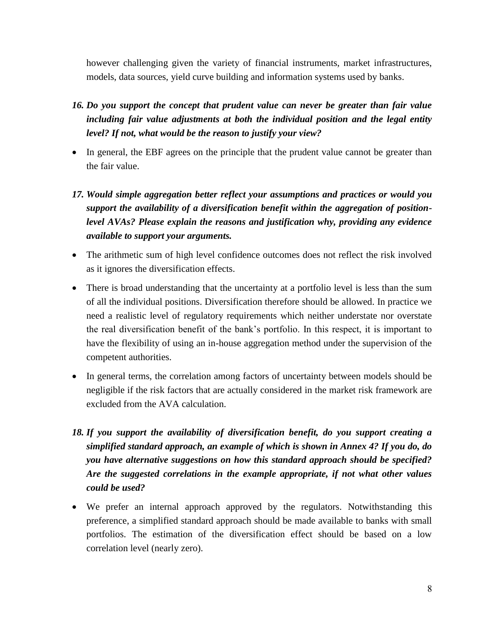however challenging given the variety of financial instruments, market infrastructures, models, data sources, yield curve building and information systems used by banks.

- *16. Do you support the concept that prudent value can never be greater than fair value including fair value adjustments at both the individual position and the legal entity level? If not, what would be the reason to justify your view?*
- In general, the EBF agrees on the principle that the prudent value cannot be greater than the fair value.
- *17. Would simple aggregation better reflect your assumptions and practices or would you support the availability of a diversification benefit within the aggregation of positionlevel AVAs? Please explain the reasons and justification why, providing any evidence available to support your arguments.*
- The arithmetic sum of high level confidence outcomes does not reflect the risk involved as it ignores the diversification effects.
- There is broad understanding that the uncertainty at a portfolio level is less than the sum of all the individual positions. Diversification therefore should be allowed. In practice we need a realistic level of regulatory requirements which neither understate nor overstate the real diversification benefit of the bank's portfolio. In this respect, it is important to have the flexibility of using an in-house aggregation method under the supervision of the competent authorities.
- In general terms, the correlation among factors of uncertainty between models should be negligible if the risk factors that are actually considered in the market risk framework are excluded from the AVA calculation.
- *18. If you support the availability of diversification benefit, do you support creating a simplified standard approach, an example of which is shown in Annex 4? If you do, do you have alternative suggestions on how this standard approach should be specified? Are the suggested correlations in the example appropriate, if not what other values could be used?*
- We prefer an internal approach approved by the regulators. Notwithstanding this preference, a simplified standard approach should be made available to banks with small portfolios. The estimation of the diversification effect should be based on a low correlation level (nearly zero).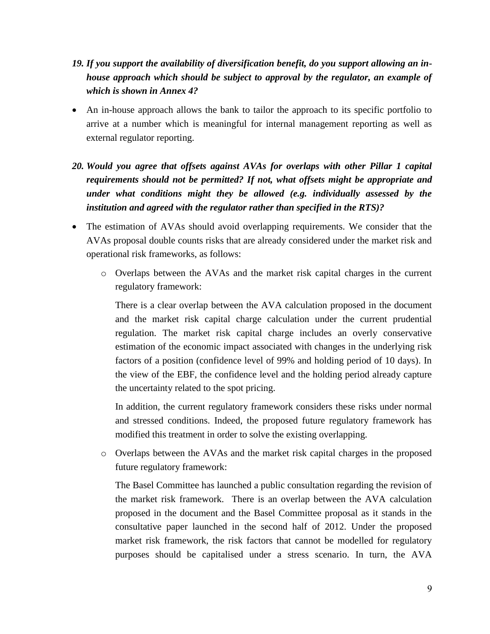- *19. If you support the availability of diversification benefit, do you support allowing an inhouse approach which should be subject to approval by the regulator, an example of which is shown in Annex 4?*
- An in-house approach allows the bank to tailor the approach to its specific portfolio to arrive at a number which is meaningful for internal management reporting as well as external regulator reporting.
- *20. Would you agree that offsets against AVAs for overlaps with other Pillar 1 capital requirements should not be permitted? If not, what offsets might be appropriate and under what conditions might they be allowed (e.g. individually assessed by the institution and agreed with the regulator rather than specified in the RTS)?*
- The estimation of AVAs should avoid overlapping requirements. We consider that the AVAs proposal double counts risks that are already considered under the market risk and operational risk frameworks, as follows:
	- o Overlaps between the AVAs and the market risk capital charges in the current regulatory framework:

There is a clear overlap between the AVA calculation proposed in the document and the market risk capital charge calculation under the current prudential regulation. The market risk capital charge includes an overly conservative estimation of the economic impact associated with changes in the underlying risk factors of a position (confidence level of 99% and holding period of 10 days). In the view of the EBF, the confidence level and the holding period already capture the uncertainty related to the spot pricing.

In addition, the current regulatory framework considers these risks under normal and stressed conditions. Indeed, the proposed future regulatory framework has modified this treatment in order to solve the existing overlapping.

o Overlaps between the AVAs and the market risk capital charges in the proposed future regulatory framework:

The Basel Committee has launched a public consultation regarding the revision of the market risk framework. There is an overlap between the AVA calculation proposed in the document and the Basel Committee proposal as it stands in the consultative paper launched in the second half of 2012. Under the proposed market risk framework, the risk factors that cannot be modelled for regulatory purposes should be capitalised under a stress scenario. In turn, the AVA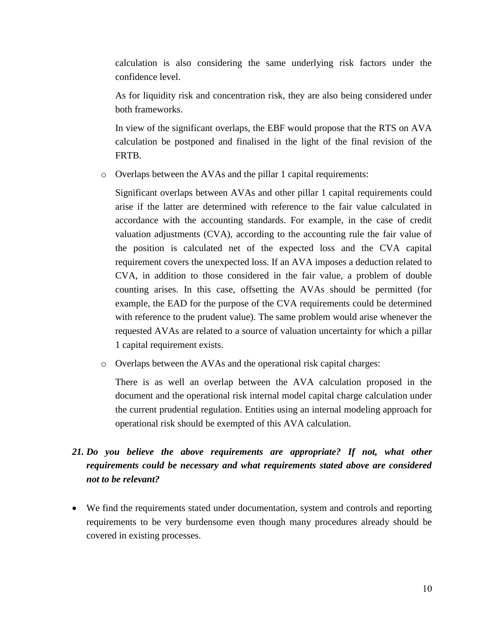calculation is also considering the same underlying risk factors under the confidence level.

As for liquidity risk and concentration risk, they are also being considered under both frameworks.

In view of the significant overlaps, the EBF would propose that the RTS on AVA calculation be postponed and finalised in the light of the final revision of the FRTB.

o Overlaps between the AVAs and the pillar 1 capital requirements:

Significant overlaps between AVAs and other pillar 1 capital requirements could arise if the latter are determined with reference to the fair value calculated in accordance with the accounting standards. For example, in the case of credit valuation adjustments (CVA), according to the accounting rule the fair value of the position is calculated net of the expected loss and the CVA capital requirement covers the unexpected loss. If an AVA imposes a deduction related to CVA, in addition to those considered in the fair value, a problem of double counting arises. In this case, offsetting the AVAs should be permitted (for example, the EAD for the purpose of the CVA requirements could be determined with reference to the prudent value). The same problem would arise whenever the requested AVAs are related to a source of valuation uncertainty for which a pillar 1 capital requirement exists.

o Overlaps between the AVAs and the operational risk capital charges:

There is as well an overlap between the AVA calculation proposed in the document and the operational risk internal model capital charge calculation under the current prudential regulation. Entities using an internal modeling approach for operational risk should be exempted of this AVA calculation.

# *21. Do you believe the above requirements are appropriate? If not, what other requirements could be necessary and what requirements stated above are considered not to be relevant?*

 We find the requirements stated under documentation, system and controls and reporting requirements to be very burdensome even though many procedures already should be covered in existing processes.